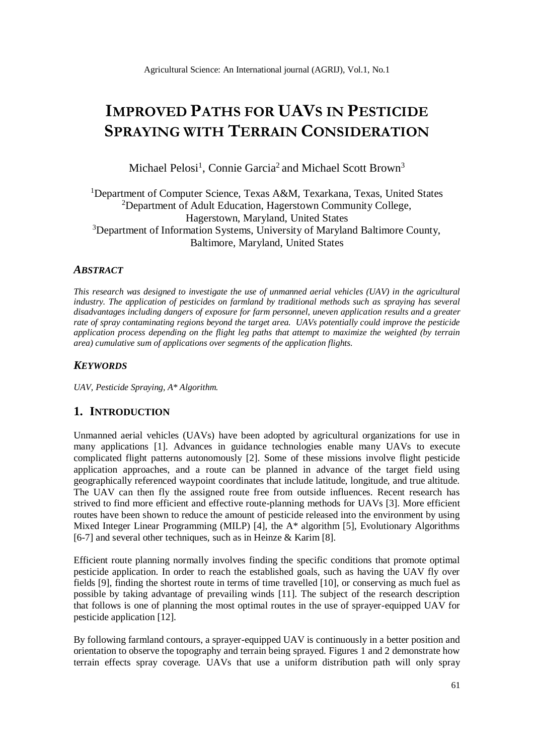# **IMPROVED PATHS FOR UAVS IN PESTICIDE SPRAYING WITH TERRAIN CONSIDERATION**

Michael Pelosi<sup>1</sup>, Connie Garcia<sup>2</sup> and Michael Scott Brown<sup>3</sup>

<sup>1</sup>Department of Computer Science, Texas A&M, Texarkana, Texas, United States <sup>2</sup>Department of Adult Education, Hagerstown Community College, Hagerstown, Maryland, United States <sup>3</sup>Department of Information Systems, University of Maryland Baltimore County, Baltimore, Maryland, United States

### *ABSTRACT*

*This research was designed to investigate the use of unmanned aerial vehicles (UAV) in the agricultural industry. The application of pesticides on farmland by traditional methods such as spraying has several disadvantages including dangers of exposure for farm personnel, uneven application results and a greater rate of spray contaminating regions beyond the target area. UAVs potentially could improve the pesticide application process depending on the flight leg paths that attempt to maximize the weighted (by terrain area) cumulative sum of applications over segments of the application flights.*

### *KEYWORDS*

*UAV, Pesticide Spraying, A\* Algorithm.*

### **1. INTRODUCTION**

Unmanned aerial vehicles (UAVs) have been adopted by agricultural organizations for use in many applications [1]. Advances in guidance technologies enable many UAVs to execute complicated flight patterns autonomously [2]. Some of these missions involve flight pesticide application approaches, and a route can be planned in advance of the target field using geographically referenced waypoint coordinates that include latitude, longitude, and true altitude. The UAV can then fly the assigned route free from outside influences. Recent research has strived to find more efficient and effective route-planning methods for UAVs [3]. More efficient routes have been shown to reduce the amount of pesticide released into the environment by using Mixed Integer Linear Programming (MILP) [4], the A\* algorithm [5], Evolutionary Algorithms [6-7] and several other techniques, such as in Heinze & Karim [8].

Efficient route planning normally involves finding the specific conditions that promote optimal pesticide application. In order to reach the established goals, such as having the UAV fly over fields [9], finding the shortest route in terms of time travelled [10], or conserving as much fuel as possible by taking advantage of prevailing winds [11]. The subject of the research description that follows is one of planning the most optimal routes in the use of sprayer-equipped UAV for pesticide application [12].

By following farmland contours, a sprayer-equipped UAV is continuously in a better position and orientation to observe the topography and terrain being sprayed. Figures 1 and 2 demonstrate how terrain effects spray coverage. UAVs that use a uniform distribution path will only spray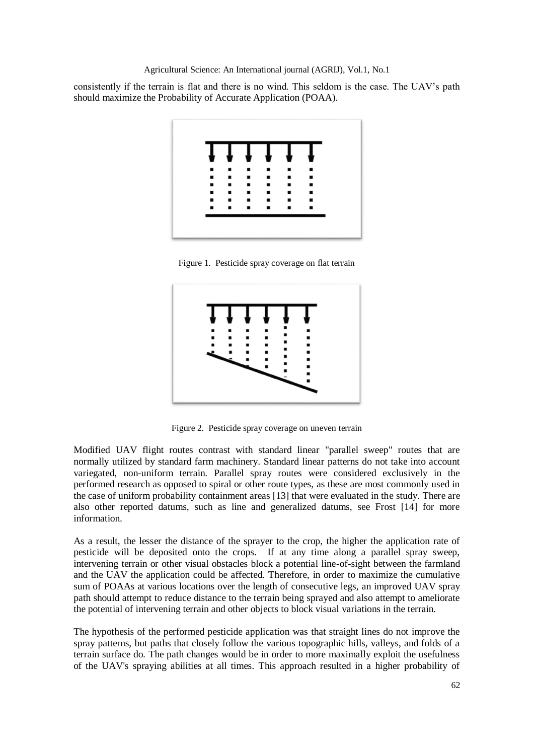consistently if the terrain is flat and there is no wind. This seldom is the case. The UAV's path should maximize the Probability of Accurate Application (POAA).



Figure 1. Pesticide spray coverage on flat terrain



Figure 2. Pesticide spray coverage on uneven terrain

Modified UAV flight routes contrast with standard linear "parallel sweep" routes that are normally utilized by standard farm machinery. Standard linear patterns do not take into account variegated, non-uniform terrain. Parallel spray routes were considered exclusively in the performed research as opposed to spiral or other route types, as these are most commonly used in the case of uniform probability containment areas [13] that were evaluated in the study. There are also other reported datums, such as line and generalized datums, see Frost [14] for more information.

As a result, the lesser the distance of the sprayer to the crop, the higher the application rate of pesticide will be deposited onto the crops. If at any time along a parallel spray sweep, intervening terrain or other visual obstacles block a potential line-of-sight between the farmland and the UAV the application could be affected. Therefore, in order to maximize the cumulative sum of POAAs at various locations over the length of consecutive legs, an improved UAV spray path should attempt to reduce distance to the terrain being sprayed and also attempt to ameliorate the potential of intervening terrain and other objects to block visual variations in the terrain.

The hypothesis of the performed pesticide application was that straight lines do not improve the spray patterns, but paths that closely follow the various topographic hills, valleys, and folds of a terrain surface do. The path changes would be in order to more maximally exploit the usefulness of the UAV's spraying abilities at all times. This approach resulted in a higher probability of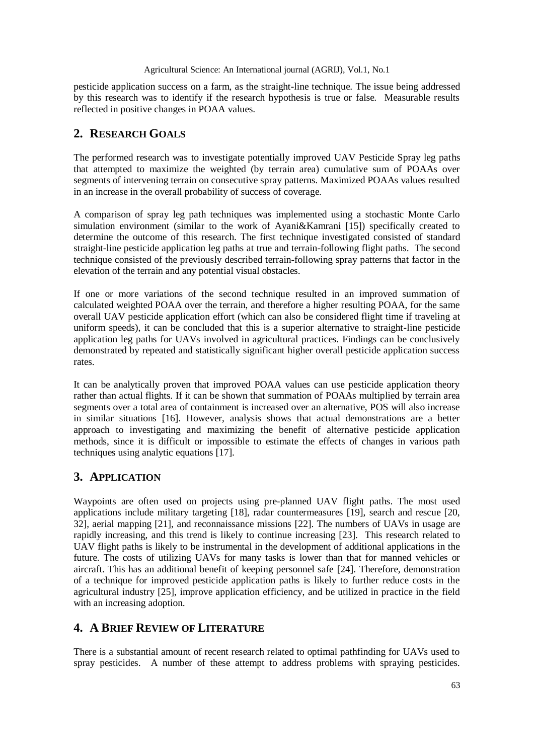pesticide application success on a farm, as the straight-line technique. The issue being addressed by this research was to identify if the research hypothesis is true or false. Measurable results reflected in positive changes in POAA values.

# **2. RESEARCH GOALS**

The performed research was to investigate potentially improved UAV Pesticide Spray leg paths that attempted to maximize the weighted (by terrain area) cumulative sum of POAAs over segments of intervening terrain on consecutive spray patterns. Maximized POAAs values resulted in an increase in the overall probability of success of coverage.

A comparison of spray leg path techniques was implemented using a stochastic Monte Carlo simulation environment (similar to the work of Ayani&Kamrani [15]) specifically created to determine the outcome of this research. The first technique investigated consisted of standard straight-line pesticide application leg paths at true and terrain-following flight paths. The second technique consisted of the previously described terrain-following spray patterns that factor in the elevation of the terrain and any potential visual obstacles.

If one or more variations of the second technique resulted in an improved summation of calculated weighted POAA over the terrain, and therefore a higher resulting POAA, for the same overall UAV pesticide application effort (which can also be considered flight time if traveling at uniform speeds), it can be concluded that this is a superior alternative to straight-line pesticide application leg paths for UAVs involved in agricultural practices. Findings can be conclusively demonstrated by repeated and statistically significant higher overall pesticide application success rates.

It can be analytically proven that improved POAA values can use pesticide application theory rather than actual flights. If it can be shown that summation of POAAs multiplied by terrain area segments over a total area of containment is increased over an alternative, POS will also increase in similar situations [16]. However, analysis shows that actual demonstrations are a better approach to investigating and maximizing the benefit of alternative pesticide application methods, since it is difficult or impossible to estimate the effects of changes in various path techniques using analytic equations [17].

# **3. APPLICATION**

Waypoints are often used on projects using pre-planned UAV flight paths. The most used applications include military targeting [18], radar countermeasures [19], search and rescue [20, 32], aerial mapping [21], and reconnaissance missions [22]. The numbers of UAVs in usage are rapidly increasing, and this trend is likely to continue increasing [23]. This research related to UAV flight paths is likely to be instrumental in the development of additional applications in the future. The costs of utilizing UAVs for many tasks is lower than that for manned vehicles or aircraft. This has an additional benefit of keeping personnel safe [24]. Therefore, demonstration of a technique for improved pesticide application paths is likely to further reduce costs in the agricultural industry [25], improve application efficiency, and be utilized in practice in the field with an increasing adoption.

# **4. A BRIEF REVIEW OF LITERATURE**

There is a substantial amount of recent research related to optimal pathfinding for UAVs used to spray pesticides. A number of these attempt to address problems with spraying pesticides.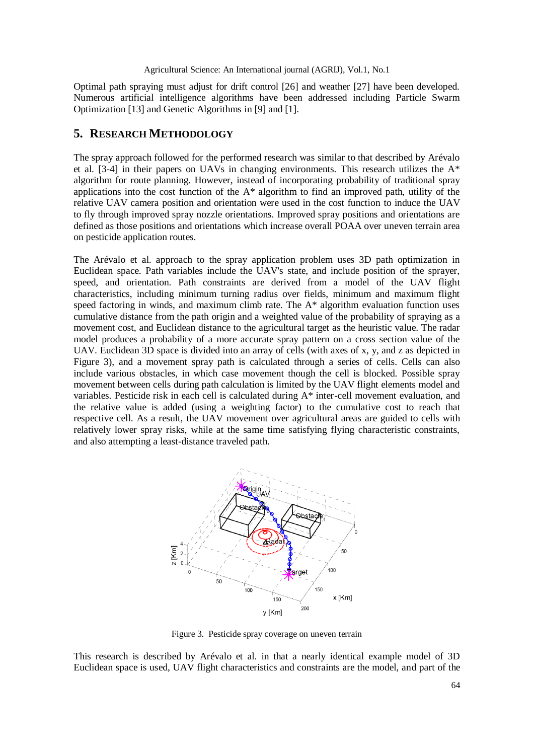Optimal path spraying must adjust for drift control [26] and weather [27] have been developed. Numerous artificial intelligence algorithms have been addressed including Particle Swarm Optimization [13] and Genetic Algorithms in [9] and [1].

### **5. RESEARCH METHODOLOGY**

The spray approach followed for the performed research was similar to that described by Arévalo et al.  $[3-4]$  in their papers on UAVs in changing environments. This research utilizes the  $A^*$ algorithm for route planning. However, instead of incorporating probability of traditional spray applications into the cost function of the A\* algorithm to find an improved path, utility of the relative UAV camera position and orientation were used in the cost function to induce the UAV to fly through improved spray nozzle orientations. Improved spray positions and orientations are defined as those positions and orientations which increase overall POAA over uneven terrain area on pesticide application routes.

The Arévalo et al. approach to the spray application problem uses 3D path optimization in Euclidean space. Path variables include the UAV's state, and include position of the sprayer, speed, and orientation. Path constraints are derived from a model of the UAV flight characteristics, including minimum turning radius over fields, minimum and maximum flight speed factoring in winds, and maximum climb rate. The A\* algorithm evaluation function uses cumulative distance from the path origin and a weighted value of the probability of spraying as a movement cost, and Euclidean distance to the agricultural target as the heuristic value. The radar model produces a probability of a more accurate spray pattern on a cross section value of the UAV. Euclidean 3D space is divided into an array of cells (with axes of x, y, and z as depicted in Figure 3), and a movement spray path is calculated through a series of cells. Cells can also include various obstacles, in which case movement though the cell is blocked. Possible spray movement between cells during path calculation is limited by the UAV flight elements model and variables. Pesticide risk in each cell is calculated during A\* inter-cell movement evaluation, and the relative value is added (using a weighting factor) to the cumulative cost to reach that respective cell. As a result, the UAV movement over agricultural areas are guided to cells with relatively lower spray risks, while at the same time satisfying flying characteristic constraints, and also attempting a least-distance traveled path.



Figure 3. Pesticide spray coverage on uneven terrain

This research is described by Arévalo et al. in that a nearly identical example model of 3D Euclidean space is used, UAV flight characteristics and constraints are the model, and part of the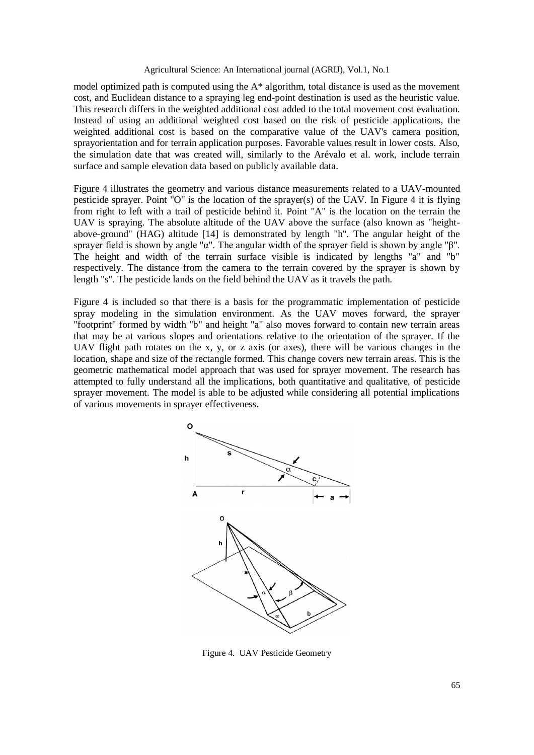model optimized path is computed using the A\* algorithm, total distance is used as the movement cost, and Euclidean distance to a spraying leg end-point destination is used as the heuristic value. This research differs in the weighted additional cost added to the total movement cost evaluation. Instead of using an additional weighted cost based on the risk of pesticide applications, the weighted additional cost is based on the comparative value of the UAV's camera position, sprayorientation and for terrain application purposes. Favorable values result in lower costs. Also, the simulation date that was created will, similarly to the Arévalo et al. work, include terrain surface and sample elevation data based on publicly available data.

Figure 4 illustrates the geometry and various distance measurements related to a UAV-mounted pesticide sprayer. Point "O" is the location of the sprayer(s) of the UAV. In Figure 4 it is flying from right to left with a trail of pesticide behind it. Point "A" is the location on the terrain the UAV is spraying. The absolute altitude of the UAV above the surface (also known as "heightabove-ground" (HAG) altitude [14] is demonstrated by length "h". The angular height of the sprayer field is shown by angle "α". The angular width of the sprayer field is shown by angle "β". The height and width of the terrain surface visible is indicated by lengths "a" and "b" respectively. The distance from the camera to the terrain covered by the sprayer is shown by length "s". The pesticide lands on the field behind the UAV as it travels the path.

Figure 4 is included so that there is a basis for the programmatic implementation of pesticide spray modeling in the simulation environment. As the UAV moves forward, the sprayer "footprint" formed by width "b" and height "a" also moves forward to contain new terrain areas that may be at various slopes and orientations relative to the orientation of the sprayer. If the UAV flight path rotates on the x, y, or z axis (or axes), there will be various changes in the location, shape and size of the rectangle formed. This change covers new terrain areas. This is the geometric mathematical model approach that was used for sprayer movement. The research has attempted to fully understand all the implications, both quantitative and qualitative, of pesticide sprayer movement. The model is able to be adjusted while considering all potential implications of various movements in sprayer effectiveness.



Figure 4. UAV Pesticide Geometry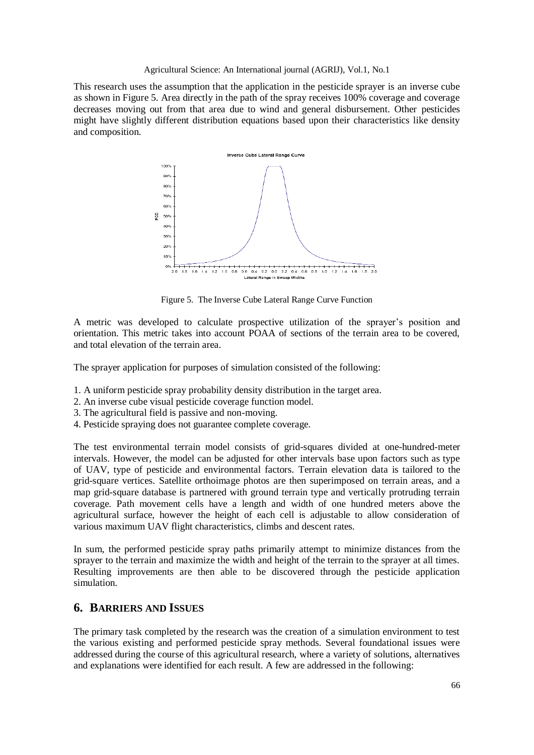This research uses the assumption that the application in the pesticide sprayer is an inverse cube as shown in Figure 5. Area directly in the path of the spray receives 100% coverage and coverage decreases moving out from that area due to wind and general disbursement. Other pesticides might have slightly different distribution equations based upon their characteristics like density and composition.



Figure 5. The Inverse Cube Lateral Range Curve Function

A metric was developed to calculate prospective utilization of the sprayer's position and orientation. This metric takes into account POAA of sections of the terrain area to be covered, and total elevation of the terrain area.

The sprayer application for purposes of simulation consisted of the following:

- 1. A uniform pesticide spray probability density distribution in the target area.
- 2. An inverse cube visual pesticide coverage function model.
- 3. The agricultural field is passive and non-moving.
- 4. Pesticide spraying does not guarantee complete coverage.

The test environmental terrain model consists of grid-squares divided at one-hundred-meter intervals. However, the model can be adjusted for other intervals base upon factors such as type of UAV, type of pesticide and environmental factors. Terrain elevation data is tailored to the grid-square vertices. Satellite orthoimage photos are then superimposed on terrain areas, and a map grid-square database is partnered with ground terrain type and vertically protruding terrain coverage. Path movement cells have a length and width of one hundred meters above the agricultural surface, however the height of each cell is adjustable to allow consideration of various maximum UAV flight characteristics, climbs and descent rates.

In sum, the performed pesticide spray paths primarily attempt to minimize distances from the sprayer to the terrain and maximize the width and height of the terrain to the sprayer at all times. Resulting improvements are then able to be discovered through the pesticide application simulation.

# **6. BARRIERS AND ISSUES**

The primary task completed by the research was the creation of a simulation environment to test the various existing and performed pesticide spray methods. Several foundational issues were addressed during the course of this agricultural research, where a variety of solutions, alternatives and explanations were identified for each result. A few are addressed in the following: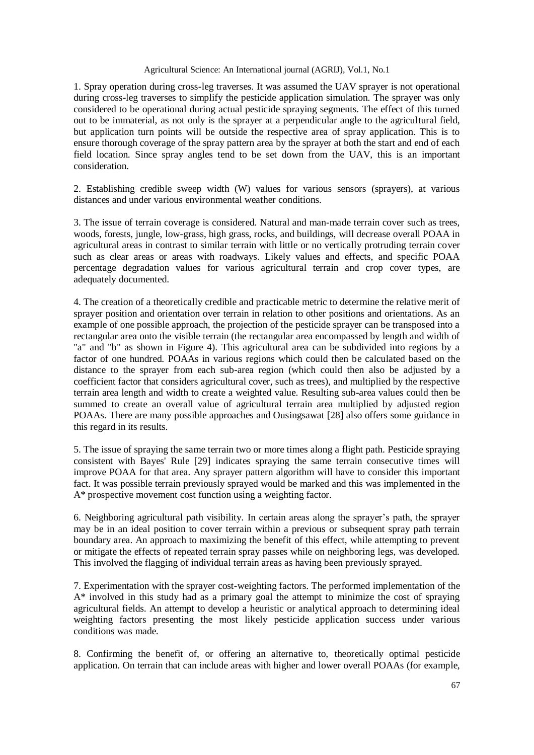1. Spray operation during cross-leg traverses. It was assumed the UAV sprayer is not operational during cross-leg traverses to simplify the pesticide application simulation. The sprayer was only considered to be operational during actual pesticide spraying segments. The effect of this turned out to be immaterial, as not only is the sprayer at a perpendicular angle to the agricultural field, but application turn points will be outside the respective area of spray application. This is to ensure thorough coverage of the spray pattern area by the sprayer at both the start and end of each field location. Since spray angles tend to be set down from the UAV, this is an important consideration.

2. Establishing credible sweep width (W) values for various sensors (sprayers), at various distances and under various environmental weather conditions.

3. The issue of terrain coverage is considered. Natural and man-made terrain cover such as trees, woods, forests, jungle, low-grass, high grass, rocks, and buildings, will decrease overall POAA in agricultural areas in contrast to similar terrain with little or no vertically protruding terrain cover such as clear areas or areas with roadways. Likely values and effects, and specific POAA percentage degradation values for various agricultural terrain and crop cover types, are adequately documented.

4. The creation of a theoretically credible and practicable metric to determine the relative merit of sprayer position and orientation over terrain in relation to other positions and orientations. As an example of one possible approach, the projection of the pesticide sprayer can be transposed into a rectangular area onto the visible terrain (the rectangular area encompassed by length and width of "a" and "b" as shown in Figure 4). This agricultural area can be subdivided into regions by a factor of one hundred. POAAs in various regions which could then be calculated based on the distance to the sprayer from each sub-area region (which could then also be adjusted by a coefficient factor that considers agricultural cover, such as trees), and multiplied by the respective terrain area length and width to create a weighted value. Resulting sub-area values could then be summed to create an overall value of agricultural terrain area multiplied by adjusted region POAAs. There are many possible approaches and Ousingsawat [28] also offers some guidance in this regard in its results.

5. The issue of spraying the same terrain two or more times along a flight path. Pesticide spraying consistent with Bayes' Rule [29] indicates spraying the same terrain consecutive times will improve POAA for that area. Any sprayer pattern algorithm will have to consider this important fact. It was possible terrain previously sprayed would be marked and this was implemented in the A\* prospective movement cost function using a weighting factor.

6. Neighboring agricultural path visibility. In certain areas along the sprayer's path, the sprayer may be in an ideal position to cover terrain within a previous or subsequent spray path terrain boundary area. An approach to maximizing the benefit of this effect, while attempting to prevent or mitigate the effects of repeated terrain spray passes while on neighboring legs, was developed. This involved the flagging of individual terrain areas as having been previously sprayed.

7. Experimentation with the sprayer cost-weighting factors. The performed implementation of the A\* involved in this study had as a primary goal the attempt to minimize the cost of spraying agricultural fields. An attempt to develop a heuristic or analytical approach to determining ideal weighting factors presenting the most likely pesticide application success under various conditions was made.

8. Confirming the benefit of, or offering an alternative to, theoretically optimal pesticide application. On terrain that can include areas with higher and lower overall POAAs (for example,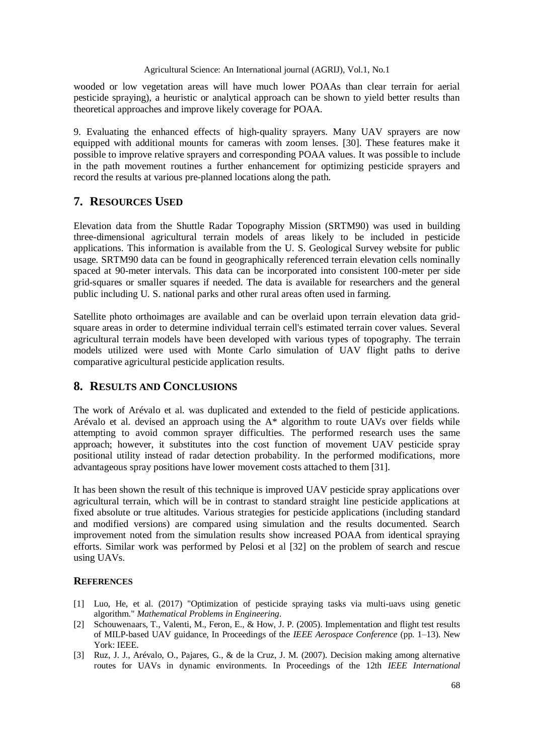wooded or low vegetation areas will have much lower POAAs than clear terrain for aerial pesticide spraying), a heuristic or analytical approach can be shown to yield better results than theoretical approaches and improve likely coverage for POAA.

9. Evaluating the enhanced effects of high-quality sprayers. Many UAV sprayers are now equipped with additional mounts for cameras with zoom lenses. [30]. These features make it possible to improve relative sprayers and corresponding POAA values. It was possible to include in the path movement routines a further enhancement for optimizing pesticide sprayers and record the results at various pre-planned locations along the path.

# **7. RESOURCES USED**

Elevation data from the Shuttle Radar Topography Mission (SRTM90) was used in building three-dimensional agricultural terrain models of areas likely to be included in pesticide applications. This information is available from the U. S. Geological Survey website for public usage. SRTM90 data can be found in geographically referenced terrain elevation cells nominally spaced at 90-meter intervals. This data can be incorporated into consistent 100-meter per side grid-squares or smaller squares if needed. The data is available for researchers and the general public including U. S. national parks and other rural areas often used in farming.

Satellite photo orthoimages are available and can be overlaid upon terrain elevation data gridsquare areas in order to determine individual terrain cell's estimated terrain cover values. Several agricultural terrain models have been developed with various types of topography. The terrain models utilized were used with Monte Carlo simulation of UAV flight paths to derive comparative agricultural pesticide application results.

# **8. RESULTS AND CONCLUSIONS**

The work of Arévalo et al. was duplicated and extended to the field of pesticide applications. Arévalo et al. devised an approach using the A\* algorithm to route UAVs over fields while attempting to avoid common sprayer difficulties. The performed research uses the same approach; however, it substitutes into the cost function of movement UAV pesticide spray positional utility instead of radar detection probability. In the performed modifications, more advantageous spray positions have lower movement costs attached to them [31].

It has been shown the result of this technique is improved UAV pesticide spray applications over agricultural terrain, which will be in contrast to standard straight line pesticide applications at fixed absolute or true altitudes. Various strategies for pesticide applications (including standard and modified versions) are compared using simulation and the results documented. Search improvement noted from the simulation results show increased POAA from identical spraying efforts. Similar work was performed by Pelosi et al [32] on the problem of search and rescue using UAVs.

### **REFERENCES**

- [1] Luo, He, et al. (2017) "Optimization of pesticide spraying tasks via multi-uavs using genetic algorithm." *Mathematical Problems in Engineering*.
- [2] Schouwenaars, T., Valenti, M., Feron, E., & How, J. P. (2005). Implementation and flight test results of MILP-based UAV guidance, In Proceedings of the *IEEE Aerospace Conference* (pp. 1–13). New York: IEEE.
- [3] Ruz, J. J., Arévalo, O., Pajares, G., & de la Cruz, J. M. (2007). Decision making among alternative routes for UAVs in dynamic environments. In Proceedings of the 12th *IEEE International*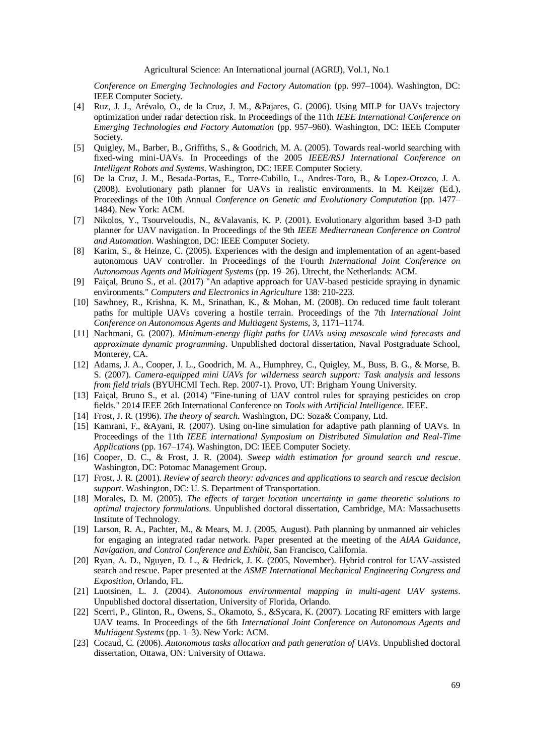*Conference on Emerging Technologies and Factory Automation* (pp. 997–1004). Washington, DC: IEEE Computer Society.

- [4] Ruz, J. J., Arévalo, O., de la Cruz, J. M., &Pajares, G. (2006). Using MILP for UAVs trajectory optimization under radar detection risk. In Proceedings of the 11th *IEEE International Conference on Emerging Technologies and Factory Automation* (pp. 957–960). Washington, DC: IEEE Computer Society.
- [5] Quigley, M., Barber, B., Griffiths, S., & Goodrich, M. A. (2005). Towards real-world searching with fixed-wing mini-UAVs. In Proceedings of the 2005 *IEEE/RSJ International Conference on Intelligent Robots and Systems*. Washington, DC: IEEE Computer Society.
- [6] De la Cruz, J. M., Besada-Portas, E., Torre-Cubillo, L., Andres-Toro, B., & Lopez-Orozco, J. A. (2008). Evolutionary path planner for UAVs in realistic environments. In M. Keijzer (Ed.), Proceedings of the 10th Annual *Conference on Genetic and Evolutionary Computation* (pp. 1477– 1484). New York: ACM.
- [7] Nikolos, Y., Tsourveloudis, N., &Valavanis, K. P. (2001). Evolutionary algorithm based 3-D path planner for UAV navigation. In Proceedings of the 9th *IEEE Mediterranean Conference on Control and Automation*. Washington, DC: IEEE Computer Society.
- [8] Karim, S., & Heinze, C. (2005). Experiences with the design and implementation of an agent-based autonomous UAV controller. In Proceedings of the Fourth *International Joint Conference on Autonomous Agents and Multiagent Systems* (pp. 19–26). Utrecht, the Netherlands: ACM.
- [9] Faiçal, Bruno S., et al. (2017) "An adaptive approach for UAV-based pesticide spraying in dynamic environments." *Computers and Electronics in Agriculture* 138: 210-223.
- [10] Sawhney, R., Krishna, K. M., Srinathan, K., & Mohan, M. (2008). On reduced time fault tolerant paths for multiple UAVs covering a hostile terrain. Proceedings of the 7th *International Joint Conference on Autonomous Agents and Multiagent Systems*, 3, 1171–1174.
- [11] Nachmani, G. (2007). *Minimum-energy flight paths for UAVs using mesoscale wind forecasts and approximate dynamic programming*. Unpublished doctoral dissertation, Naval Postgraduate School, Monterey, CA.
- [12] Adams, J. A., Cooper, J. L., Goodrich, M. A., Humphrey, C., Quigley, M., Buss, B. G., & Morse, B. S. (2007). *Camera-equipped mini UAVs for wilderness search support: Task analysis and lessons from field trials* (BYUHCMI Tech. Rep. 2007-1). Provo, UT: Brigham Young University.
- [13] Faiçal, Bruno S., et al. (2014) "Fine-tuning of UAV control rules for spraying pesticides on crop fields." 2014 IEEE 26th International Conference on *Tools with Artificial Intelligence*. IEEE.
- [14] Frost, J. R. (1996). *The theory of search*. Washington, DC: Soza& Company, Ltd.
- [15] Kamrani, F., &Ayani, R. (2007). Using on-line simulation for adaptive path planning of UAVs. In Proceedings of the 11th *IEEE international Symposium on Distributed Simulation and Real-Time Applications* (pp. 167–174). Washington, DC: IEEE Computer Society.
- [16] Cooper, D. C., & Frost, J. R. (2004). *Sweep width estimation for ground search and rescue*. Washington, DC: Potomac Management Group.
- [17] Frost, J. R. (2001). *Review of search theory: advances and applications to search and rescue decision support*. Washington, DC: U. S. Department of Transportation.
- [18] Morales, D. M. (2005). *The effects of target location uncertainty in game theoretic solutions to optimal trajectory formulations*. Unpublished doctoral dissertation, Cambridge, MA: Massachusetts Institute of Technology.
- [19] Larson, R. A., Pachter, M., & Mears, M. J. (2005, August). Path planning by unmanned air vehicles for engaging an integrated radar network. Paper presented at the meeting of the *AIAA Guidance, Navigation, and Control Conference and Exhibit*, San Francisco, California.
- [20] Ryan, A. D., Nguyen, D. L., & Hedrick, J. K. (2005, November). Hybrid control for UAV-assisted search and rescue. Paper presented at the *ASME International Mechanical Engineering Congress and Exposition*, Orlando, FL.
- [21] Luotsinen, L. J. (2004). *Autonomous environmental mapping in multi-agent UAV systems*. Unpublished doctoral dissertation, University of Florida, Orlando.
- [22] Scerri, P., Glinton, R., Owens, S., Okamoto, S., &Sycara, K. (2007). Locating RF emitters with large UAV teams. In Proceedings of the 6th *International Joint Conference on Autonomous Agents and Multiagent Systems* (pp. 1–3). New York: ACM.
- [23] Cocaud, C. (2006). *Autonomous tasks allocation and path generation of UAVs*. Unpublished doctoral dissertation, Ottawa, ON: University of Ottawa.